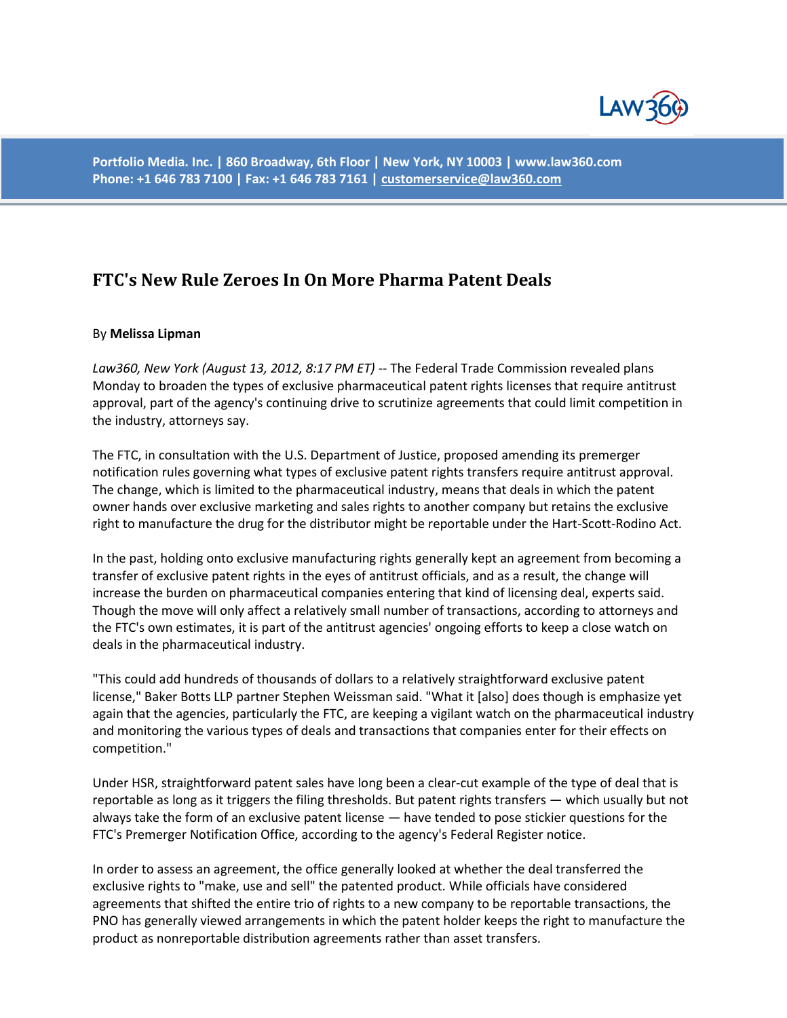

**Portfolio Media. Inc. | 860 Broadway, 6th Floor | New York, NY 10003 | www.law360.com Phone: +1 646 783 7100 | Fax: +1 646 783 7161 [| customerservice@law360.com](mailto:customerservice@law360.com)**

## **FTC's New Rule Zeroes In On More Pharma Patent Deals**

## By **Melissa Lipman**

*Law360, New York (August 13, 2012, 8:17 PM ET)* -- The Federal Trade Commission revealed plans Monday to broaden the types of exclusive pharmaceutical patent rights licenses that require antitrust approval, part of the agency's continuing drive to scrutinize agreements that could limit competition in the industry, attorneys say.

The FTC, in consultation with the U.S. Department of Justice, proposed amending its premerger notification rules governing what types of exclusive patent rights transfers require antitrust approval. The change, which is limited to the pharmaceutical industry, means that deals in which the patent owner hands over exclusive marketing and sales rights to another company but retains the exclusive right to manufacture the drug for the distributor might be reportable under the Hart-Scott-Rodino Act.

In the past, holding onto exclusive manufacturing rights generally kept an agreement from becoming a transfer of exclusive patent rights in the eyes of antitrust officials, and as a result, the change will increase the burden on pharmaceutical companies entering that kind of licensing deal, experts said. Though the move will only affect a relatively small number of transactions, according to attorneys and the FTC's own estimates, it is part of the antitrust agencies' ongoing efforts to keep a close watch on deals in the pharmaceutical industry.

"This could add hundreds of thousands of dollars to a relatively straightforward exclusive patent license," Baker Botts LLP partner Stephen Weissman said. "What it [also] does though is emphasize yet again that the agencies, particularly the FTC, are keeping a vigilant watch on the pharmaceutical industry and monitoring the various types of deals and transactions that companies enter for their effects on competition."

Under HSR, straightforward patent sales have long been a clear-cut example of the type of deal that is reportable as long as it triggers the filing thresholds. But patent rights transfers — which usually but not always take the form of an exclusive patent license — have tended to pose stickier questions for the FTC's Premerger Notification Office, according to the agency's Federal Register notice.

In order to assess an agreement, the office generally looked at whether the deal transferred the exclusive rights to "make, use and sell" the patented product. While officials have considered agreements that shifted the entire trio of rights to a new company to be reportable transactions, the PNO has generally viewed arrangements in which the patent holder keeps the right to manufacture the product as nonreportable distribution agreements rather than asset transfers.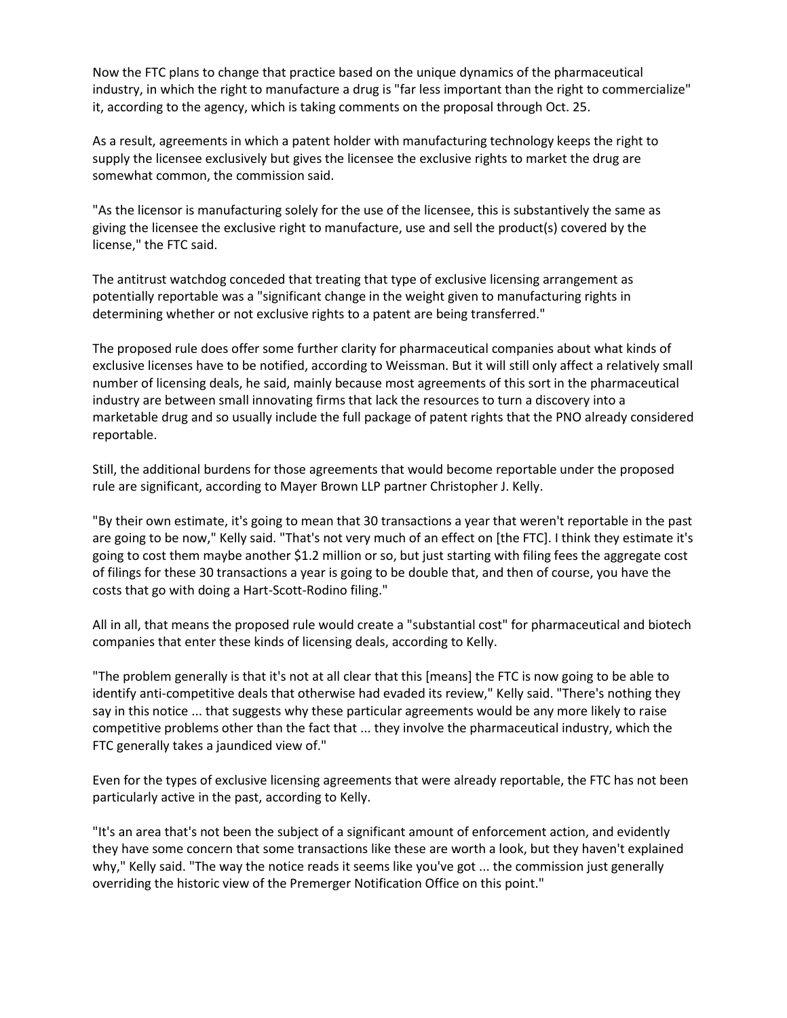Now the FTC plans to change that practice based on the unique dynamics of the pharmaceutical industry, in which the right to manufacture a drug is "far less important than the right to commercialize" it, according to the agency, which is taking comments on the proposal through Oct. 25.

As a result, agreements in which a patent holder with manufacturing technology keeps the right to supply the licensee exclusively but gives the licensee the exclusive rights to market the drug are somewhat common, the commission said.

"As the licensor is manufacturing solely for the use of the licensee, this is substantively the same as giving the licensee the exclusive right to manufacture, use and sell the product(s) covered by the license," the FTC said.

The antitrust watchdog conceded that treating that type of exclusive licensing arrangement as potentially reportable was a "significant change in the weight given to manufacturing rights in determining whether or not exclusive rights to a patent are being transferred."

The proposed rule does offer some further clarity for pharmaceutical companies about what kinds of exclusive licenses have to be notified, according to Weissman. But it will still only affect a relatively small number of licensing deals, he said, mainly because most agreements of this sort in the pharmaceutical industry are between small innovating firms that lack the resources to turn a discovery into a marketable drug and so usually include the full package of patent rights that the PNO already considered reportable.

Still, the additional burdens for those agreements that would become reportable under the proposed rule are significant, according to Mayer Brown LLP partner Christopher J. Kelly.

"By their own estimate, it's going to mean that 30 transactions a year that weren't reportable in the past are going to be now," Kelly said. "That's not very much of an effect on [the FTC]. I think they estimate it's going to cost them maybe another \$1.2 million or so, but just starting with filing fees the aggregate cost of filings for these 30 transactions a year is going to be double that, and then of course, you have the costs that go with doing a Hart-Scott-Rodino filing."

All in all, that means the proposed rule would create a "substantial cost" for pharmaceutical and biotech companies that enter these kinds of licensing deals, according to Kelly.

"The problem generally is that it's not at all clear that this [means] the FTC is now going to be able to identify anti-competitive deals that otherwise had evaded its review," Kelly said. "There's nothing they say in this notice ... that suggests why these particular agreements would be any more likely to raise competitive problems other than the fact that ... they involve the pharmaceutical industry, which the FTC generally takes a jaundiced view of."

Even for the types of exclusive licensing agreements that were already reportable, the FTC has not been particularly active in the past, according to Kelly.

"It's an area that's not been the subject of a significant amount of enforcement action, and evidently they have some concern that some transactions like these are worth a look, but they haven't explained why," Kelly said. "The way the notice reads it seems like you've got ... the commission just generally overriding the historic view of the Premerger Notification Office on this point."